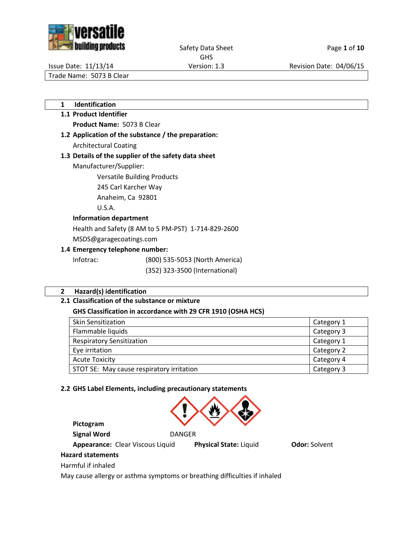



Safety Data Sheet Page 1 of 10

GHS

Issue Date: 11/13/14 Version: 1.3 Revision Date: 04/06/15

Trade Name: 5073 B Clear

**1 Identification**

# **1.1 Product Identifier Product Name:** 5073 B Clear

**1.2 Application of the substance / the preparation:** Architectural Coating

# **1.3 Details of the supplier of the safety data sheet**

Manufacturer/Supplier:

Versatile Building Products

245 Carl Karcher Way

Anaheim, Ca 92801

U.S.A.

## **Information department**

Health and Safety (8 AM to 5 PM-PST) 1-714-829-2600

MSDS@garagecoatings.com

# **1.4 Emergency telephone number:**

Infotrac: (800) 535-5053 (North America)

(352) 323-3500 (International)

# **2 Hazard(s) identification**

# **2.1 Classification of the substance or mixture**

# **GHS Classification in accordance with 29 CFR 1910 (OSHA HCS)**

| <b>Skin Sensitization</b>                 | Category 1 |
|-------------------------------------------|------------|
| Flammable liquids                         | Category 3 |
| <b>Respiratory Sensitization</b>          | Category 1 |
| Eye irritation                            | Category 2 |
| <b>Acute Toxicity</b>                     | Category 4 |
| STOT SE: May cause respiratory irritation | Category 3 |

## **2.2 GHS Label Elements, including precautionary statements**



**Pictogram Signal Word** DANGER

**Appearance:** Clear Viscous Liquid **Physical State:** Liquid **Odor:** Solvent

# **Hazard statements**

Harmful if inhaled

May cause allergy or asthma symptoms or breathing difficulties if inhaled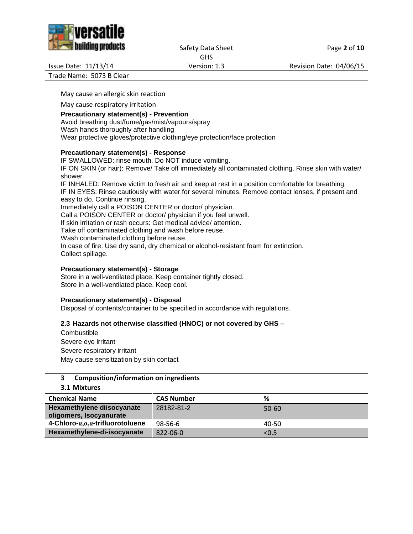



Safety Data Sheet Page 2 of 10 GHS

Issue Date: 11/13/14 Version: 1.3 Revision Date: 04/06/15

Trade Name: 5073 B Clear

May cause an allergic skin reaction

May cause respiratory irritation

#### **Precautionary statement(s) - Prevention**

Avoid breathing dust/fume/gas/mist/vapours/spray Wash hands thoroughly after handling Wear protective gloves/protective clothing/eye protection/face protection

#### **Precautionary statement(s) - Response**

IF SWALLOWED: rinse mouth. Do NOT induce vomiting. IF ON SKIN (or hair): Remove/ Take off immediately all contaminated clothing. Rinse skin with water/ shower. IF INHALED: Remove victim to fresh air and keep at rest in a position comfortable for breathing. IF IN EYES: Rinse cautiously with water for several minutes. Remove contact lenses, if present and easy to do. Continue rinsing. Immediately call a POISON CENTER or doctor/ physician. Call a POISON CENTER or doctor/ physician if you feel unwell. If skin irritation or rash occurs: Get medical advice/ attention. Take off contaminated clothing and wash before reuse. Wash contaminated clothing before reuse. In case of fire: Use dry sand, dry chemical or alcohol-resistant foam for extinction. Collect spillage.

#### **Precautionary statement(s) - Storage**

Store in a well-ventilated place. Keep container tightly closed. Store in a well-ventilated place. Keep cool.

#### **Precautionary statement(s) - Disposal**

Disposal of contents/container to be specified in accordance with regulations.

#### **2.3 Hazards not otherwise classified (HNOC) or not covered by GHS –**

**Combustible** Severe eye irritant Severe respiratory irritant May cause sensitization by skin contact

#### **3 Composition/information on ingredients 3.1 Mixtures**

| <b>S.L IVIIALUIES</b>                                 |                   |           |
|-------------------------------------------------------|-------------------|-----------|
| <b>Chemical Name</b>                                  | <b>CAS Number</b> | ℅         |
| Hexamethylene diisocyanate<br>oligomers, Isocyanurate | 28182-81-2        | $50 - 60$ |
| 4-Chloro- $a, a, a$ -trifluorotoluene                 | $98 - 56 - 6$     | 40-50     |
| Hexamethylene-di-isocyanate                           | $822 - 06 - 0$    | < 0.5     |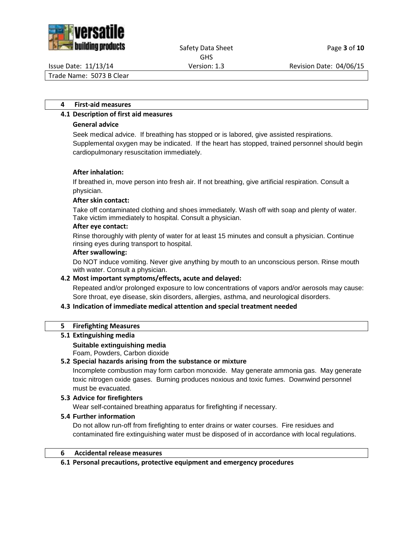

## Safety Data Sheet Page **3** of **10** GHS

Issue Date: 11/13/14 Version: 1.3 Revision Date: 04/06/15

Trade Name: 5073 B Clear

### **4 First-aid measures**

## **4.1 Description of first aid measures**

## **General advice**

Seek medical advice. If breathing has stopped or is labored, give assisted respirations. Supplemental oxygen may be indicated. If the heart has stopped, trained personnel should begin cardiopulmonary resuscitation immediately.

## **After inhalation:**

If breathed in, move person into fresh air. If not breathing, give artificial respiration. Consult a physician.

#### **After skin contact:**

Take off contaminated clothing and shoes immediately. Wash off with soap and plenty of water. Take victim immediately to hospital. Consult a physician.

#### **After eye contact:**

Rinse thoroughly with plenty of water for at least 15 minutes and consult a physician. Continue rinsing eyes during transport to hospital.

## **After swallowing:**

Do NOT induce vomiting. Never give anything by mouth to an unconscious person. Rinse mouth with water. Consult a physician.

## **4.2 Most important symptoms/effects, acute and delayed:**

Repeated and/or prolonged exposure to low concentrations of vapors and/or aerosols may cause: Sore throat, eye disease, skin disorders, allergies, asthma, and neurological disorders.

## **4.3 Indication of immediate medical attention and special treatment needed**

#### **5 Firefighting Measures**

## **5.1 Extinguishing media**

**Suitable extinguishing media**

Foam, Powders, Carbon dioxide

## **5.2 Special hazards arising from the substance or mixture**

Incomplete combustion may form carbon monoxide. May generate ammonia gas. May generate toxic nitrogen oxide gases. Burning produces noxious and toxic fumes. Downwind personnel must be evacuated.

## **5.3 Advice for firefighters**

Wear self-contained breathing apparatus for firefighting if necessary.

## **5.4 Further information**

Do not allow run-off from firefighting to enter drains or water courses. Fire residues and contaminated fire extinguishing water must be disposed of in accordance with local regulations.

#### **6 Accidental release measures**

#### **6.1 Personal precautions, protective equipment and emergency procedures**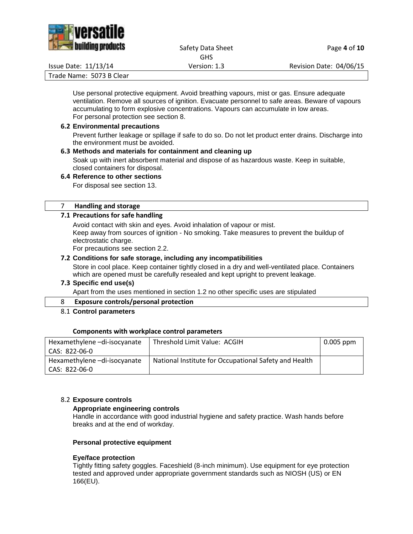

## Safety Data Sheet Page 4 of 10 GHS

Issue Date: 11/13/14 Version: 1.3 Revision Date: 04/06/15

Trade Name: 5073 B Clear

Use personal protective equipment. Avoid breathing vapours, mist or gas. Ensure adequate ventilation. Remove all sources of ignition. Evacuate personnel to safe areas. Beware of vapours accumulating to form explosive concentrations. Vapours can accumulate in low areas. For personal protection see section 8.

### **6.2 Environmental precautions**

Prevent further leakage or spillage if safe to do so. Do not let product enter drains. Discharge into the environment must be avoided.

## **6.3 Methods and materials for containment and cleaning up**

Soak up with inert absorbent material and dispose of as hazardous waste. Keep in suitable, closed containers for disposal.

## **6.4 Reference to other sections**

For disposal see section 13.

#### 7 **Handling and storage**

## **7.1 Precautions for safe handling**

Avoid contact with skin and eyes. Avoid inhalation of vapour or mist. Keep away from sources of ignition - No smoking. Take measures to prevent the buildup of electrostatic charge.

For precautions see section 2.2.

## **7.2 Conditions for safe storage, including any incompatibilities**

Store in cool place. Keep container tightly closed in a dry and well-ventilated place. Containers which are opened must be carefully resealed and kept upright to prevent leakage.

## **7.3 Specific end use(s)**

Apart from the uses mentioned in section 1.2 no other specific uses are stipulated

## 8 **Exposure controls/personal protection**

8.1 **Control parameters**

#### **Components with workplace control parameters**

| Hexamethylene-di-isocyanate | Threshold Limit Value: ACGIH                          | $0.005$ ppm |
|-----------------------------|-------------------------------------------------------|-------------|
| l CAS: 822-06-0             |                                                       |             |
| Hexamethylene-di-isocyanate | National Institute for Occupational Safety and Health |             |
| l CAS: 822-06-0             |                                                       |             |

## 8.2 **Exposure controls**

#### **Appropriate engineering controls**

Handle in accordance with good industrial hygiene and safety practice. Wash hands before breaks and at the end of workday.

#### **Personal protective equipment**

#### **Eye/face protection**

Tightly fitting safety goggles. Faceshield (8-inch minimum). Use equipment for eye protection tested and approved under appropriate government standards such as NIOSH (US) or EN 166(EU).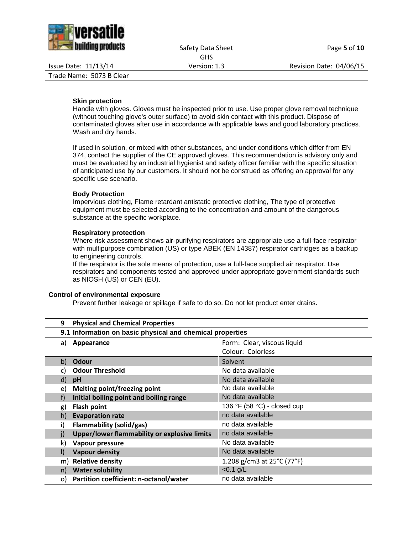

Safety Data Sheet Page 5 of 10 GHS

Issue Date: 11/13/14 Version: 1.3 Revision Date: 04/06/15

Trade Name: 5073 B Clear

#### **Skin protection**

Handle with gloves. Gloves must be inspected prior to use. Use proper glove removal technique (without touching glove's outer surface) to avoid skin contact with this product. Dispose of contaminated gloves after use in accordance with applicable laws and good laboratory practices. Wash and dry hands.

If used in solution, or mixed with other substances, and under conditions which differ from EN 374, contact the supplier of the CE approved gloves. This recommendation is advisory only and must be evaluated by an industrial hygienist and safety officer familiar with the specific situation of anticipated use by our customers. It should not be construed as offering an approval for any specific use scenario.

#### **Body Protection**

Impervious clothing, Flame retardant antistatic protective clothing, The type of protective equipment must be selected according to the concentration and amount of the dangerous substance at the specific workplace.

#### **Respiratory protection**

Where risk assessment shows air-purifying respirators are appropriate use a full-face respirator with multipurpose combination (US) or type ABEK (EN 14387) respirator cartridges as a backup to engineering controls.

If the respirator is the sole means of protection, use a full-face supplied air respirator. Use respirators and components tested and approved under appropriate government standards such as NIOSH (US) or CEN (EU).

#### **Control of environmental exposure**

Prevent further leakage or spillage if safe to do so. Do not let product enter drains.

| 9       | <b>Physical and Chemical Properties</b>                   |                                                 |  |
|---------|-----------------------------------------------------------|-------------------------------------------------|--|
|         | 9.1 Information on basic physical and chemical properties |                                                 |  |
| a)      | Appearance                                                | Form: Clear, viscous liquid                     |  |
|         |                                                           | Colour: Colorless                               |  |
| b)      | <b>Odour</b>                                              | Solvent                                         |  |
| C)      | <b>Odour Threshold</b>                                    | No data available                               |  |
| d)      | pH                                                        | No data available                               |  |
| e)      | <b>Melting point/freezing point</b>                       | No data available                               |  |
| f)      | Initial boiling point and boiling range                   | No data available                               |  |
| g)      | <b>Flash point</b>                                        | 136 °F (58 °C) - closed cup                     |  |
| h)      | <b>Evaporation rate</b>                                   | no data available                               |  |
| i)      | Flammability (solid/gas)                                  | no data available                               |  |
| j)      | Upper/lower flammability or explosive limits              | no data available                               |  |
| k)      | Vapour pressure                                           | No data available                               |  |
| $\vert$ | <b>Vapour density</b>                                     | No data available                               |  |
| m)      | <b>Relative density</b>                                   | 1.208 g/cm3 at $25^{\circ}$ C (77 $^{\circ}$ F) |  |
| n)      | <b>Water solubility</b>                                   | $< 0.1$ g/L                                     |  |
| O)      | Partition coefficient: n-octanol/water                    | no data available                               |  |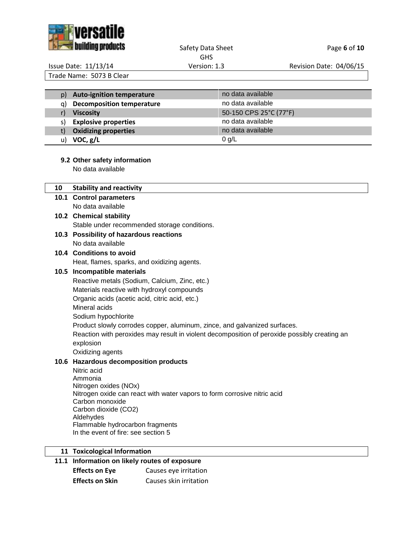

## Safety Data Sheet Page 6 of 10 GHS

Issue Date: 11/13/14 Version: 1.3 Revision Date: 04/06/15

Trade Name: 5073 B Clear

| <b>Auto-ignition temperature</b><br>p) | no data available      |
|----------------------------------------|------------------------|
| <b>Decomposition temperature</b><br>a) | no data available      |
| <b>Viscosity</b>                       | 50-150 CPS 25°C (77°F) |
| <b>Explosive properties</b><br>S)      | no data available      |
| <b>Oxidizing properties</b><br>t)      | no data available      |
| VOC, g/L<br>u)                         | $0$ g/L                |

# **9.2 Other safety information**

No data available

| 10 | <b>Stability and reactivity</b>                                                              |
|----|----------------------------------------------------------------------------------------------|
|    | 10.1 Control parameters                                                                      |
|    | No data available                                                                            |
|    | 10.2 Chemical stability                                                                      |
|    | Stable under recommended storage conditions.                                                 |
|    | 10.3 Possibility of hazardous reactions                                                      |
|    | No data available                                                                            |
|    | 10.4 Conditions to avoid                                                                     |
|    | Heat, flames, sparks, and oxidizing agents.                                                  |
|    | 10.5 Incompatible materials                                                                  |
|    | Reactive metals (Sodium, Calcium, Zinc, etc.)                                                |
|    | Materials reactive with hydroxyl compounds                                                   |
|    | Organic acids (acetic acid, citric acid, etc.)                                               |
|    | Mineral acids                                                                                |
|    | Sodium hypochlorite                                                                          |
|    | Product slowly corrodes copper, aluminum, zince, and galvanized surfaces.                    |
|    | Reaction with peroxides may result in violent decomposition of peroxide possibly creating an |
|    | explosion                                                                                    |
|    | Oxidizing agents                                                                             |
|    | 10.6 Hazardous decomposition products                                                        |
|    | Nitric acid<br>Ammonia                                                                       |
|    | Nitrogen oxides (NOx)                                                                        |
|    | Nitrogen oxide can react with water vapors to form corrosive nitric acid                     |
|    | Carbon monoxide                                                                              |
|    | Carbon dioxide (CO2)                                                                         |
|    | Aldehydes<br>Flammable hydrocarbon fragments                                                 |
|    | In the event of fire: see section 5                                                          |
|    |                                                                                              |
|    | 11 Toxicological Information                                                                 |

# **11.1 Information on likely routes of exposure**

| <b>Effects on Eye</b>  | Causes eye irritation  |
|------------------------|------------------------|
| <b>Effects on Skin</b> | Causes skin irritation |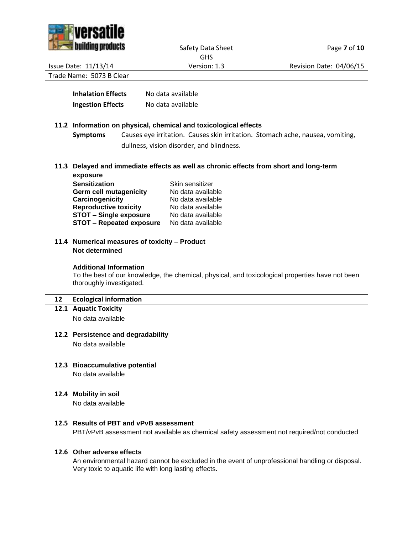



Safety Data Sheet Page **7** of 10 GHS

Issue Date: 11/13/14 Version: 1.3 Revision Date: 04/06/15

Trade Name: 5073 B Clear

| <b>Inhalation Effects</b> | No data available |
|---------------------------|-------------------|
| <b>Ingestion Effects</b>  | No data available |

## **11.2 Information on physical, chemical and toxicological effects**

**Symptoms** Causes eye irritation. Causes skin irritation. Stomach ache, nausea, vomiting, dullness, vision disorder, and blindness.

**11.3 Delayed and immediate effects as well as chronic effects from short and long-term exposure**

| Skin sensitizer   |
|-------------------|
| No data available |
| No data available |
| No data available |
| No data available |
| No data available |
|                   |

## **11.4 Numerical measures of toxicity – Product Not determined**

## **Additional Information**

To the best of our knowledge, the chemical, physical, and toxicological properties have not been thoroughly investigated.

## **12 Ecological information**

**12.1 Aquatic Toxicity**

No data available

## **12.2 Persistence and degradability**

No data available

- **12.3 Bioaccumulative potential** No data available
- **12.4 Mobility in soil**

No data available

## **12.5 Results of PBT and vPvB assessment**

PBT/vPvB assessment not available as chemical safety assessment not required/not conducted

#### **12.6 Other adverse effects**

An environmental hazard cannot be excluded in the event of unprofessional handling or disposal. Very toxic to aquatic life with long lasting effects.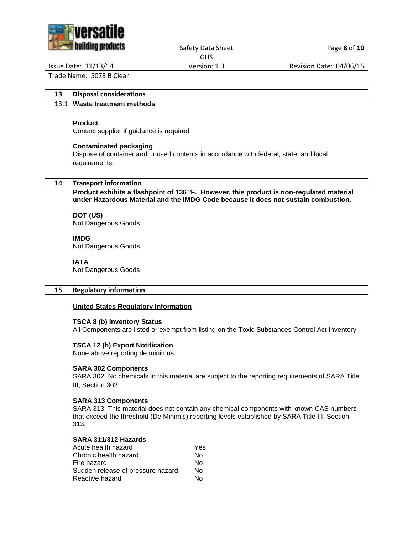

#### Safety Data Sheet Page 8 of 10 GHS

Issue Date: 11/13/14 Version: 1.3 Revision Date: 04/06/15

Trade Name: 5073 B Clear

## **13 Disposal considerations**

## 13.1 **Waste treatment methods**

#### **Product**

Contact supplier if guidance is required.

#### **Contaminated packaging**

Dispose of container and unused contents in accordance with federal, state, and local requirements.

#### **14 Transport information**

**Product exhibits a flashpoint of 136 ºF. However, this product is non-regulated material under Hazardous Material and the IMDG Code because it does not sustain combustion.**

#### **DOT (US)** Not Dangerous Goods

#### **IMDG**

Not Dangerous Goods

#### **IATA**

Not Dangerous Goods

#### **15 Regulatory information**

#### **United States Regulatory Information**

#### **TSCA 8 (b) Inventory Status**

All Components are listed or exempt from listing on the Toxic Substances Control Act Inventory.

#### **TSCA 12 (b) Export Notification**

None above reporting de minimus

#### **SARA 302 Components**

SARA 302: No chemicals in this material are subject to the reporting requirements of SARA Title III, Section 302.

#### **SARA 313 Components**

SARA 313: This material does not contain any chemical components with known CAS numbers that exceed the threshold (De Minimis) reporting levels established by SARA Title III, Section 313.

#### **SARA 311/312 Hazards**

| Yes |
|-----|
| N٥  |
| N٥  |
| N٥  |
| N٥  |
|     |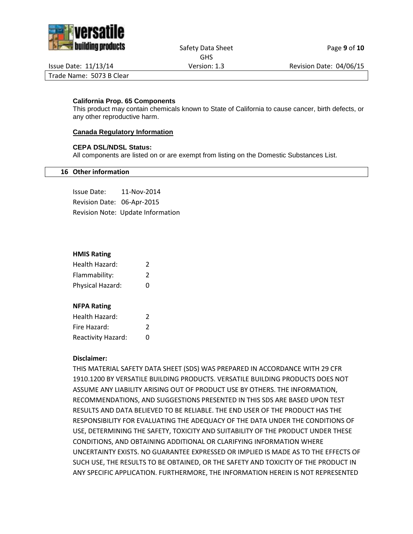

#### Safety Data Sheet Page 9 of 10 GHS

Issue Date: 11/13/14 Version: 1.3 Revision Date: 04/06/15

Trade Name: 5073 B Clear

# **California Prop. 65 Components**

This product may contain chemicals known to State of California to cause cancer, birth defects, or any other reproductive harm.

# **Canada Regulatory Information**

# **CEPA DSL/NDSL Status:**

All components are listed on or are exempt from listing on the Domestic Substances List.

# **16 Other information**

Issue Date: 11-Nov-2014 Revision Date: 06-Apr-2015 Revision Note: Update Information

## **HMIS Rating**

| Health Hazard:   | 2             |
|------------------|---------------|
| Flammability:    | $\mathcal{P}$ |
| Physical Hazard: | O             |

## **NFPA Rating**

| Health Hazard:     | 2 |  |
|--------------------|---|--|
| Fire Hazard:       | 2 |  |
| Reactivity Hazard: | O |  |

## **Disclaimer:**

THIS MATERIAL SAFETY DATA SHEET (SDS) WAS PREPARED IN ACCORDANCE WITH 29 CFR 1910.1200 BY VERSATILE BUILDING PRODUCTS. VERSATILE BUILDING PRODUCTS DOES NOT ASSUME ANY LIABILITY ARISING OUT OF PRODUCT USE BY OTHERS. THE INFORMATION, RECOMMENDATIONS, AND SUGGESTIONS PRESENTED IN THIS SDS ARE BASED UPON TEST RESULTS AND DATA BELIEVED TO BE RELIABLE. THE END USER OF THE PRODUCT HAS THE RESPONSIBILITY FOR EVALUATING THE ADEQUACY OF THE DATA UNDER THE CONDITIONS OF USE, DETERMINING THE SAFETY, TOXICITY AND SUITABILITY OF THE PRODUCT UNDER THESE CONDITIONS, AND OBTAINING ADDITIONAL OR CLARIFYING INFORMATION WHERE UNCERTAINTY EXISTS. NO GUARANTEE EXPRESSED OR IMPLIED IS MADE AS TO THE EFFECTS OF SUCH USE, THE RESULTS TO BE OBTAINED, OR THE SAFETY AND TOXICITY OF THE PRODUCT IN ANY SPECIFIC APPLICATION. FURTHERMORE, THE INFORMATION HEREIN IS NOT REPRESENTED